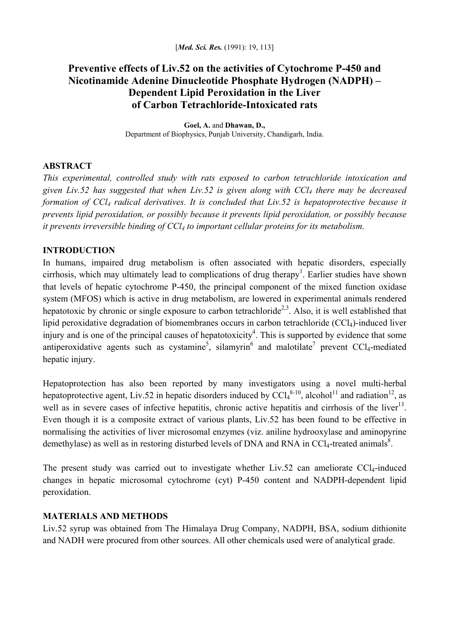# **Preventive effects of Liv.52 on the activities of Cytochrome P-450 and Nicotinamide Adenine Dinucleotide Phosphate Hydrogen (NADPH) – Dependent Lipid Peroxidation in the Liver of Carbon Tetrachloride-Intoxicated rats**

**Goel, A.** and **Dhawan, D.,**  Department of Biophysics, Punjab University, Chandigarh, India.

## **ABSTRACT**

*This experimental, controlled study with rats exposed to carbon tetrachloride intoxication and given Liv.52 has suggested that when Liv.52 is given along with CCl4 there may be decreased formation of CCl4 radical derivatives. It is concluded that Liv.52 is hepatoprotective because it prevents lipid peroxidation, or possibly because it prevents lipid peroxidation, or possibly because it prevents irreversible binding of CCl4 to important cellular proteins for its metabolism.* 

### **INTRODUCTION**

In humans, impaired drug metabolism is often associated with hepatic disorders, especially cirrhosis, which may ultimately lead to complications of drug therapy<sup>1</sup>. Earlier studies have shown that levels of hepatic cytochrome P-450, the principal component of the mixed function oxidase system (MFOS) which is active in drug metabolism, are lowered in experimental animals rendered hepatotoxic by chronic or single exposure to carbon tetrachloride<sup>2,3</sup>. Also, it is well established that lipid peroxidative degradation of biomembranes occurs in carbon tetrachloride (CCl<sub>4</sub>)-induced liver injury and is one of the principal causes of hepatotoxicity<sup>4</sup>. This is supported by evidence that some antiperoxidative agents such as cystamine<sup>5</sup>, silamyrin<sup>6</sup> and malotilate<sup>7</sup> prevent CCl<sub>4</sub>-mediated hepatic injury.

Hepatoprotection has also been reported by many investigators using a novel multi-herbal hepatoprotective agent, Liv.52 in hepatic disorders induced by  $CCl_4^{8-10}$ , alcohol<sup>11</sup> and radiation<sup>12</sup>, as well as in severe cases of infective hepatitis, chronic active hepatitis and cirrhosis of the liver<sup>13</sup>. Even though it is a composite extract of various plants, Liv.52 has been found to be effective in normalising the activities of liver microsomal enzymes (viz. aniline hydrooxylase and aminopyrine demethylase) as well as in restoring disturbed levels of DNA and RNA in CCl<sub>4</sub>-treated animals<sup>8</sup>.

The present study was carried out to investigate whether Liv.52 can ameliorate CCl<sub>4</sub>-induced changes in hepatic microsomal cytochrome (cyt) P-450 content and NADPH-dependent lipid peroxidation.

### **MATERIALS AND METHODS**

Liv.52 syrup was obtained from The Himalaya Drug Company, NADPH, BSA, sodium dithionite and NADH were procured from other sources. All other chemicals used were of analytical grade.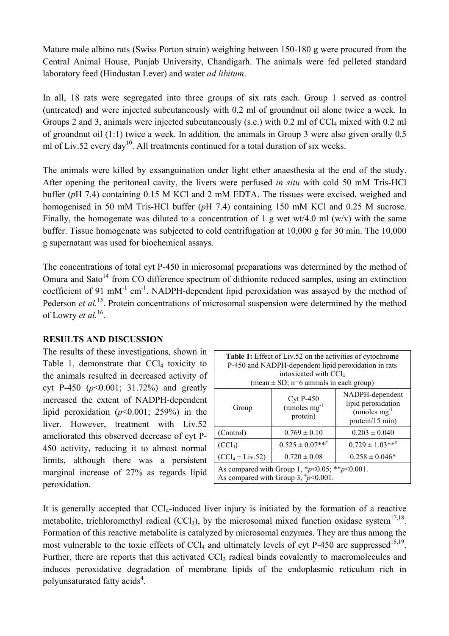Mature male albino rats (Swiss Porton strain) weighing between 150-180 g were procured from the Central Animal House, Punjab University, Chandigarh. The animals were fed pelleted standard laboratory feed (Hindustan Lever) and water *ad libitum*.

In all, 18 rats were segregated into three groups of six rats each. Group 1 served as control (untreated) and were injected subcutaneously with 0.2 ml of groundnut oil alone twice a week. In Groups 2 and 3, animals were injected subcutaneously (s.c.) with 0.2 ml of CCl<sub>4</sub> mixed with 0.2 ml of groundnut oil (1:1) twice a week. In addition, the animals in Group 3 were also given orally 0.5 ml of Liv.52 every day<sup>10</sup>. All treatments continued for a total duration of six weeks.

The animals were killed by exsanguination under light ether anaesthesia at the end of the study. After opening the peritoneal cavity, the livers were perfused *in situ* with cold 50 mM Tris-HCl buffer (*p*H 7.4) containing 0.15 M KCl and 2 mM EDTA. The tissues were excised, weighed and homogenised in 50 mM Tris-HCl buffer (*p*H 7.4) containing 150 mM KCl and 0.25 M sucrose. Finally, the homogenate was diluted to a concentration of 1 g wet wt/4.0 ml (w/v) with the same buffer. Tissue homogenate was subjected to cold centrifugation at 10,000 g for 30 min. The 10,000 g supernatant was used for biochemical assays.

The concentrations of total cyt P-450 in microsomal preparations was determined by the method of Omura and Sato<sup> $14$ </sup> from CO difference spectrum of dithionite reduced samples, using an extinction coefficient of 91 mM<sup>-1</sup> cm<sup>-1</sup>. NADPH-dependent lipid peroxidation was assayed by the method of Pederson *et al.*<sup>15</sup>. Protein concentrations of microsomal suspension were determined by the method of Lowry *et al.*16.

### **RESULTS AND DISCUSSION**

The results of these investigations, shown in Table 1, demonstrate that  $CCl<sub>4</sub>$  toxicity to the animals resulted in decreased activity of cyt P-450 (*p*<0.001; 31.72%) and greatly increased the extent of NADPH-dependent lipid peroxidation (*p*<0.001; 259%) in the liver. However, treatment with Liv.52 ameliorated this observed decrease of cyt P-450 activity, reducing it to almost normal limits, although there was a persistent marginal increase of 27% as regards lipid peroxidation.

| <b>Table 1:</b> Effect of Liv.52 on the activities of cytochrome<br>P-450 and NADPH-dependent lipid peroxidation in rats<br>intoxicated with CCl <sub>4</sub><br>(mean $\pm$ SD; n=6 animals in each group) |                                                    |                                                                                |
|-------------------------------------------------------------------------------------------------------------------------------------------------------------------------------------------------------------|----------------------------------------------------|--------------------------------------------------------------------------------|
| Group                                                                                                                                                                                                       | <b>Cyt P-450</b><br>$(mmoles mg^{-1})$<br>protein) | NADPH-dependent<br>lipid peroxidation<br>$(mmoles mg^{-1})$<br>protein/15 min) |
| (Control)                                                                                                                                                                                                   | $0.769 \pm 0.10$                                   | $0.203 \pm 0.040$                                                              |
| (CCl <sub>4</sub> )                                                                                                                                                                                         | $0.525 \pm 0.07$ ** <sup>#</sup>                   | $0.729 \pm 1.03***$                                                            |
| $(CCl_4 + Liv.52)$                                                                                                                                                                                          | $0.720 \pm 0.08$                                   | $0.258 \pm 0.046*$                                                             |
| As compared with Group 1, $*_{p}$ <0.05; $*_{p}$ solong 1.<br>As compared with Group 3, $\frac{\#p}{0.001}$ .                                                                                               |                                                    |                                                                                |

It is generally accepted that CCl<sub>4</sub>-induced liver injury is initiated by the formation of a reactive metabolite, trichloromethyl radical  $(CCl_3)$ , by the microsomal mixed function oxidase system<sup>17,18</sup>. Formation of this reactive metabolite is catalyzed by microsomal enzymes. They are thus among the most vulnerable to the toxic effects of  $\text{CCl}_4$  and ultimately levels of cyt P-450 are suppressed<sup>18,19</sup>. Further, there are reports that this activated CCl<sub>3</sub> radical binds covalently to macromolecules and induces peroxidative degradation of membrane lipids of the endoplasmic reticulum rich in polyunsaturated fatty acids<sup>4</sup>.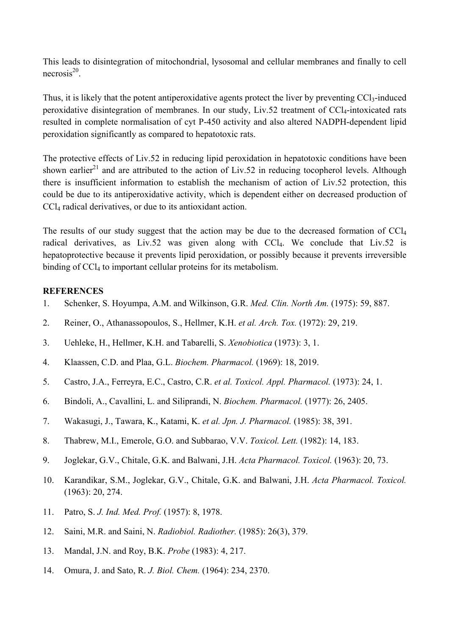This leads to disintegration of mitochondrial, lysosomal and cellular membranes and finally to cell  $n$ ecrosis<sup>20</sup>

Thus, it is likely that the potent antiperoxidative agents protect the liver by preventing CCl<sub>3</sub>-induced peroxidative disintegration of membranes. In our study, Liv.52 treatment of CCl4-intoxicated rats resulted in complete normalisation of cyt P-450 activity and also altered NADPH-dependent lipid peroxidation significantly as compared to hepatotoxic rats.

The protective effects of Liv.52 in reducing lipid peroxidation in hepatotoxic conditions have been shown earlier<sup>21</sup> and are attributed to the action of Liv.52 in reducing tocopherol levels. Although there is insufficient information to establish the mechanism of action of Liv.52 protection, this could be due to its antiperoxidative activity, which is dependent either on decreased production of CCl4 radical derivatives, or due to its antioxidant action.

The results of our study suggest that the action may be due to the decreased formation of  $\text{CCl}_4$ radical derivatives, as Liv.52 was given along with CCl4. We conclude that Liv.52 is hepatoprotective because it prevents lipid peroxidation, or possibly because it prevents irreversible binding of CCl<sub>4</sub> to important cellular proteins for its metabolism.

### **REFERENCES**

- 1. Schenker, S. Hoyumpa, A.M. and Wilkinson, G.R. *Med. Clin. North Am.* (1975): 59, 887.
- 2. Reiner, O., Athanassopoulos, S., Hellmer, K.H. *et al. Arch. Tox.* (1972): 29, 219.
- 3. Uehleke, H., Hellmer, K.H. and Tabarelli, S. *Xenobiotica* (1973): 3, 1.
- 4. Klaassen, C.D. and Plaa, G.L. *Biochem. Pharmacol.* (1969): 18, 2019.
- 5. Castro, J.A., Ferreyra, E.C., Castro, C.R. *et al. Toxicol. Appl. Pharmacol.* (1973): 24, 1.
- 6. Bindoli, A., Cavallini, L. and Siliprandi, N. *Biochem. Pharmacol.* (1977): 26, 2405.
- 7. Wakasugi, J., Tawara, K., Katami, K. *et al. Jpn. J. Pharmacol.* (1985): 38, 391.
- 8. Thabrew, M.I., Emerole, G.O. and Subbarao, V.V. *Toxicol. Lett.* (1982): 14, 183.
- 9. Joglekar, G.V., Chitale, G.K. and Balwani, J.H. *Acta Pharmacol. Toxicol.* (1963): 20, 73.
- 10. Karandikar, S.M., Joglekar, G.V., Chitale, G.K. and Balwani, J.H. *Acta Pharmacol. Toxicol.* (1963): 20, 274.
- 11. Patro, S. *J. Ind. Med. Prof.* (1957): 8, 1978.
- 12. Saini, M.R. and Saini, N. *Radiobiol. Radiother.* (1985): 26(3), 379.
- 13. Mandal, J.N. and Roy, B.K. *Probe* (1983): 4, 217.
- 14. Omura, J. and Sato, R. *J. Biol. Chem.* (1964): 234, 2370.